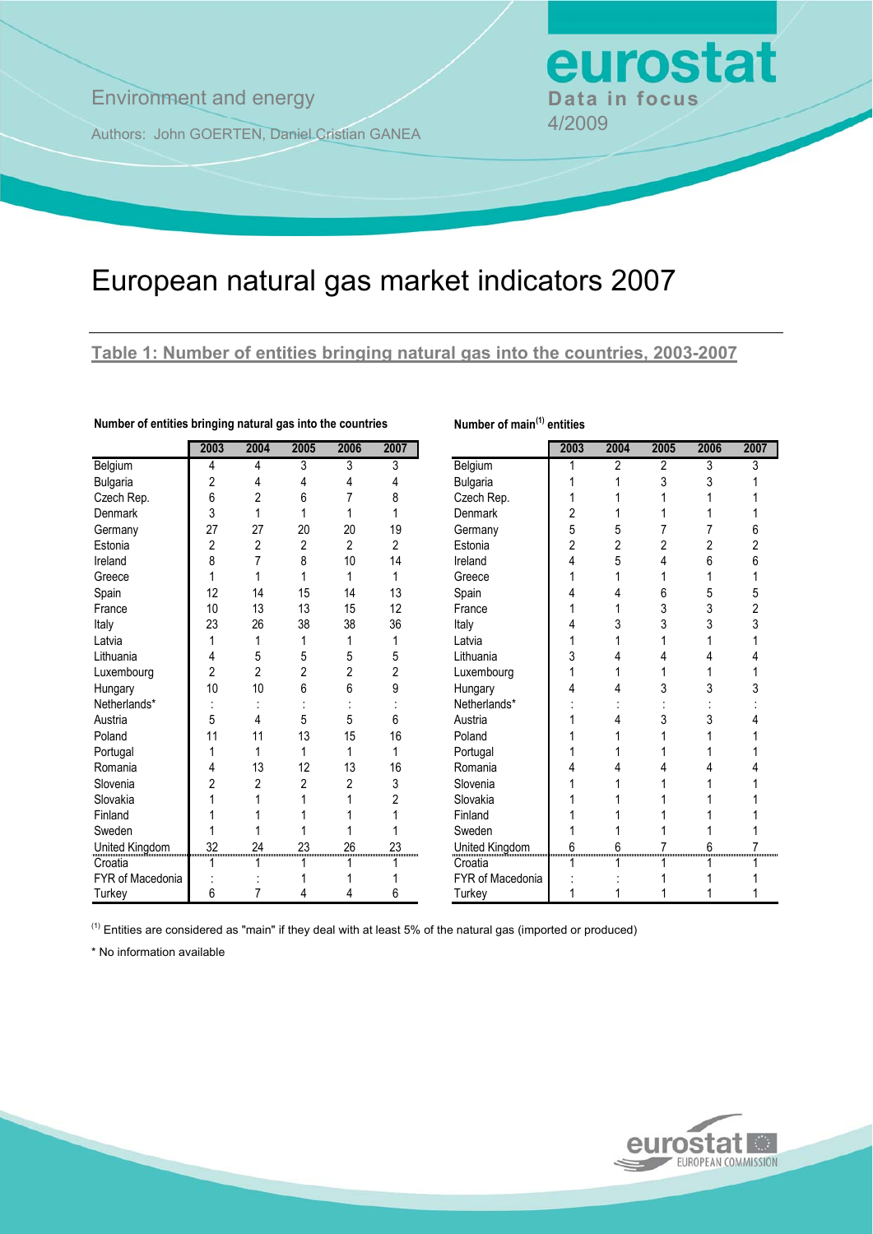## **Environment and energy Bata in focus**

Authors: John GOERTEN, Daniel Cristian GANEA 4/2009

# European natural gas market indicators 2007

### **Table 1: Number of entities bringing natural gas into the countries, 2003-2007**

**Number of main(1) entities**

|                         | 2003           | 2004           | 2005           | 2006           | 2007           |                         | 2003           | 2004           | 2005 | 2006 | 20 |  |  |  |
|-------------------------|----------------|----------------|----------------|----------------|----------------|-------------------------|----------------|----------------|------|------|----|--|--|--|
| Belgium                 | 4              | 4              | 3              | 3              | 3              | Belgium                 |                | 2              | 2    | 3    |    |  |  |  |
| <b>Bulgaria</b>         | $\overline{2}$ | 4              | 4              | 4              | 4              | <b>Bulgaria</b>         |                |                | 3    | 3    |    |  |  |  |
| Czech Rep.              | 6              | 2              | 6              |                | 8              | Czech Rep.              |                |                |      |      |    |  |  |  |
| <b>Denmark</b>          | 3              |                |                |                |                | <b>Denmark</b>          | 2              |                |      |      |    |  |  |  |
| Germany                 | 27             | 27             | 20             | 20             | 19             | Germany                 | 5              | 5              |      |      |    |  |  |  |
| Estonia                 | 2              | 2              | $\overline{2}$ | $\overline{2}$ | 2              | Estonia                 | $\overline{2}$ | $\overline{2}$ |      |      |    |  |  |  |
| Ireland                 | 8              |                | 8              | 10             | 14             | Ireland                 | 4              | 5              |      | 6    |    |  |  |  |
| Greece                  |                |                |                |                | 1              | Greece                  |                |                |      |      |    |  |  |  |
| Spain                   | 12             | 14             | 15             | 14             | 13             | Spain                   |                |                | 6    | 5    |    |  |  |  |
| France                  | 10             | 13             | 13             | 15             | 12             | France                  |                |                | 3    | 3    |    |  |  |  |
| Italy                   | 23             | 26             | 38             | 38             | 36             | Italy                   |                | 3              |      | 3    |    |  |  |  |
| Latvia                  |                |                |                |                |                | Latvia                  |                |                |      |      |    |  |  |  |
| Lithuania               |                | 5              | 5              | 5              | 5              | Lithuania               | 3              |                |      |      |    |  |  |  |
| Luxembourg              | 2              | $\overline{2}$ | 2              | 2              | $\overline{c}$ | Luxembourg              |                |                |      |      |    |  |  |  |
| Hungary                 | 10             | 10             | 6              | 6              | 9              | Hungary                 |                |                |      | 3    |    |  |  |  |
| Netherlands*            |                |                |                |                |                | Netherlands*            |                |                |      |      |    |  |  |  |
| Austria                 | 5              | 4              | 5              | 5              | 6              | Austria                 |                | 4              |      | 3    |    |  |  |  |
| Poland                  | 11             | 11             | 13             | 15             | 16             | Poland                  |                |                |      |      |    |  |  |  |
| Portugal                |                | 1              | 1              | 1              | 1              | Portugal                |                |                |      |      |    |  |  |  |
| Romania                 |                | 13             | 12             | 13             | 16             | Romania                 |                |                |      |      |    |  |  |  |
| Slovenia                |                | 2              | 2              | 2              | 3              | Slovenia                |                |                |      |      |    |  |  |  |
| Slovakia                |                |                |                |                | $\overline{c}$ | Slovakia                |                |                |      |      |    |  |  |  |
| Finland                 |                |                |                |                |                | Finland                 |                |                |      |      |    |  |  |  |
| Sweden                  |                |                |                |                |                | Sweden                  |                |                |      |      |    |  |  |  |
| United Kingdom          | 32             | 24             | 23             | 26             | 23             | United Kingdom          | 6              |                |      |      |    |  |  |  |
| Croatia                 |                |                |                |                |                | Croatia                 |                |                |      |      |    |  |  |  |
| <b>FYR of Macedonia</b> |                |                |                |                |                | <b>FYR of Macedonia</b> |                |                |      |      |    |  |  |  |
| Turkey                  | 6              | 7              | 4              | 4              | 6              | Turkey                  |                |                |      |      |    |  |  |  |

### **Number of entities bringing natural gas into the countries**

| 2003 | 2004           | 2005 | 2006           | 2007           |                  | 2003 | 2004 | 2005           | 2006 | 2007 |
|------|----------------|------|----------------|----------------|------------------|------|------|----------------|------|------|
| 4    | 4              | 3    | 3              | 3              | Belgium          |      | 2    | $\overline{2}$ | 3    | 3    |
| 2    | 4              | 4    | 4              | 4              | Bulgaria         |      |      | 3              | 3    |      |
| 6    | $\overline{2}$ | 6    | 7              | 8              | Czech Rep.       |      |      |                |      |      |
| 3    |                |      |                |                | <b>Denmark</b>   |      |      |                |      |      |
| 27   | 27             | 20   | 20             | 19             | Germany          | 5    | 5    |                |      |      |
| 2    | 2              | 2    | 2              | 2              | Estonia          | 2    | 2    | 2              | 2    |      |
| 8    |                | 8    | 10             | 14             | Ireland          |      |      |                | 6    |      |
|      |                |      | 1              | 1              | Greece           |      |      |                |      |      |
| 12   | 14             | 15   | 14             | 13             | Spain            |      |      | 6              | 5    |      |
| 10   | 13             | 13   | 15             | 12             | France           |      |      | 3              | 3    |      |
| 23   | 26             | 38   | 38             | 36             | Italy            |      |      | 3              | 3    |      |
|      | 1              |      | 1              | 1              | Latvia           |      |      |                |      |      |
| 4    | 5              | 5    | 5              | 5              | Lithuania        |      |      |                |      |      |
| 2    | $\overline{2}$ | 2    | 2              | 2              | Luxembourg       |      |      |                |      |      |
| 10   | 10             | 6    | 6              | 9              | Hungary          |      |      |                |      |      |
|      |                |      |                |                | Netherlands*     |      |      |                |      |      |
| 5    | 4              | 5    | 5              | 6              | Austria          |      |      |                |      |      |
| 11   | 11             | 13   | 15             | 16             | Poland           |      |      |                |      |      |
|      |                |      | 1              | 1              | Portugal         |      |      |                |      |      |
| 4    | 13             | 12   | 13             | 16             | Romania          |      |      |                |      |      |
| 2    | 2              | 2    | $\overline{c}$ | 3              | Slovenia         |      |      |                |      |      |
|      |                |      |                | $\overline{2}$ | Slovakia         |      |      |                |      |      |
|      |                |      |                |                | Finland          |      |      |                |      |      |
|      |                |      |                |                | Sweden           |      |      |                |      |      |
| 32   | 24             | 23   | 26             | 23             | United Kingdom   | 6    |      |                |      |      |
|      |                |      |                |                | Croatia          |      |      |                |      |      |
|      |                |      |                |                | FYR of Macedonia |      |      |                |      |      |
| 6    |                | 4    | 4              | 6              | Turkey           |      |      |                |      |      |

eurostat

(1) Entities are considered as "main" if they deal with at least 5% of the natural gas (imported or produced)

\* No information available

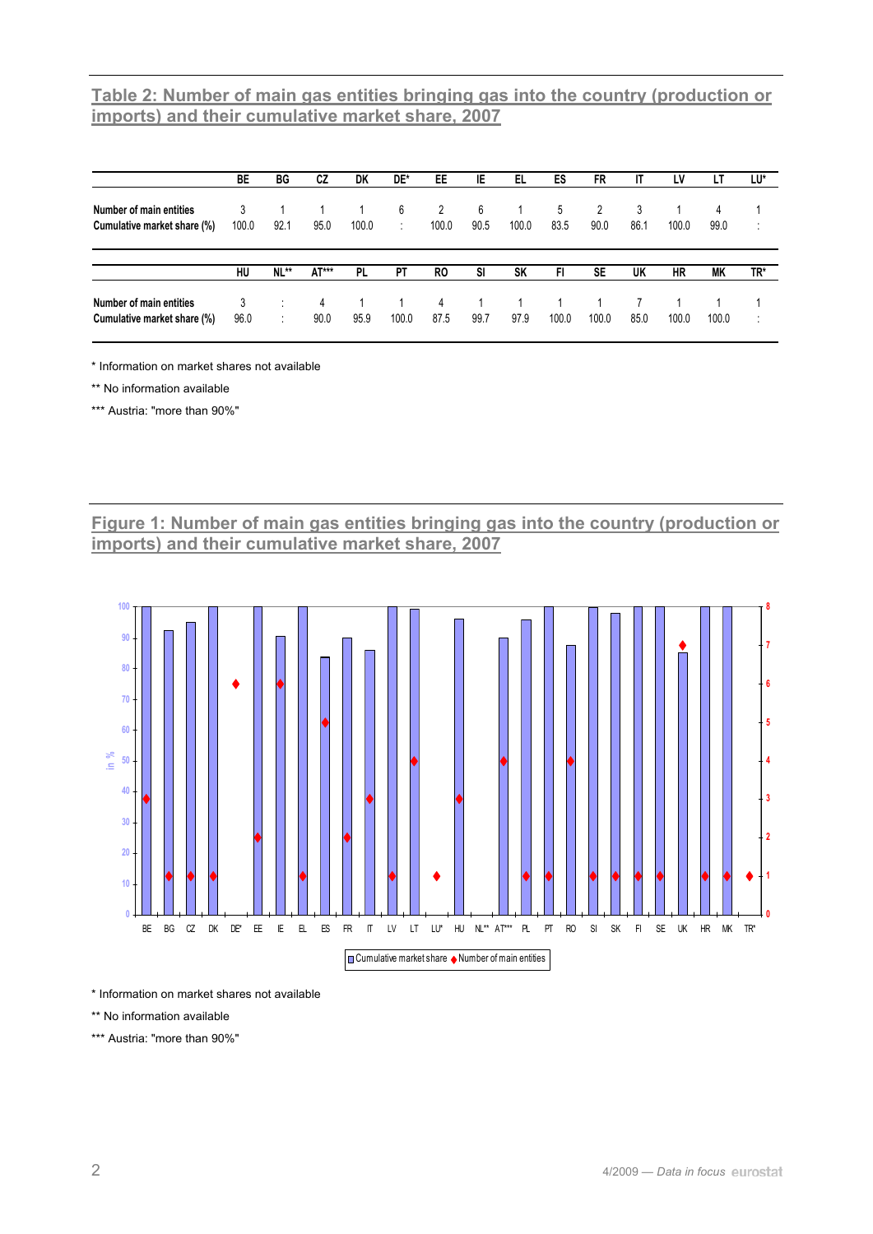## **Table 2: Number of main gas entities bringing gas into the country (production or imports) and their cumulative market share, 2007**

|                                                        | BE        | BG      | СZ        | DK    | DE*   | EE        | IE   | EL.       | ES    | FR        |      | LV    | LI    | LU*    |
|--------------------------------------------------------|-----------|---------|-----------|-------|-------|-----------|------|-----------|-------|-----------|------|-------|-------|--------|
| Number of main entities                                | 3         |         |           |       | 6     | 2         | 6    |           | 5     | 2         | 3    |       | 4     |        |
| Cumulative market share (%)                            | 100.0     | 92.1    | 95.0      | 100.0 |       | 100.0     | 90.5 | 100.0     | 83.5  | 90.0      | 86.1 | 100.0 | 99.0  | ٠<br>٠ |
|                                                        | HU        | NL**    | AT***     | PL.   | PT    | R0        | SI   | <b>SK</b> | FI.   | <b>SE</b> | UK   | HR    | МK    | TR*    |
|                                                        |           |         |           |       |       |           |      |           |       |           |      |       |       |        |
| Number of main entities<br>Cumulative market share (%) | 3<br>96.0 | $\cdot$ | 4<br>90.0 | 95.9  | 100.0 | 4<br>87.5 | 99.7 | 97.9      | 100.0 | 100.0     | 85.0 | 100.0 | 100.0 | ٠      |

\* Information on market shares not available

\*\* No information available

\*\*\* Austria: "more than 90%"

**Figure 1: Number of main gas entities bringing gas into the country (production or imports) and their cumulative market share, 2007**



\* Information on market shares not available

\*\* No information available

\*\*\* Austria: "more than 90%"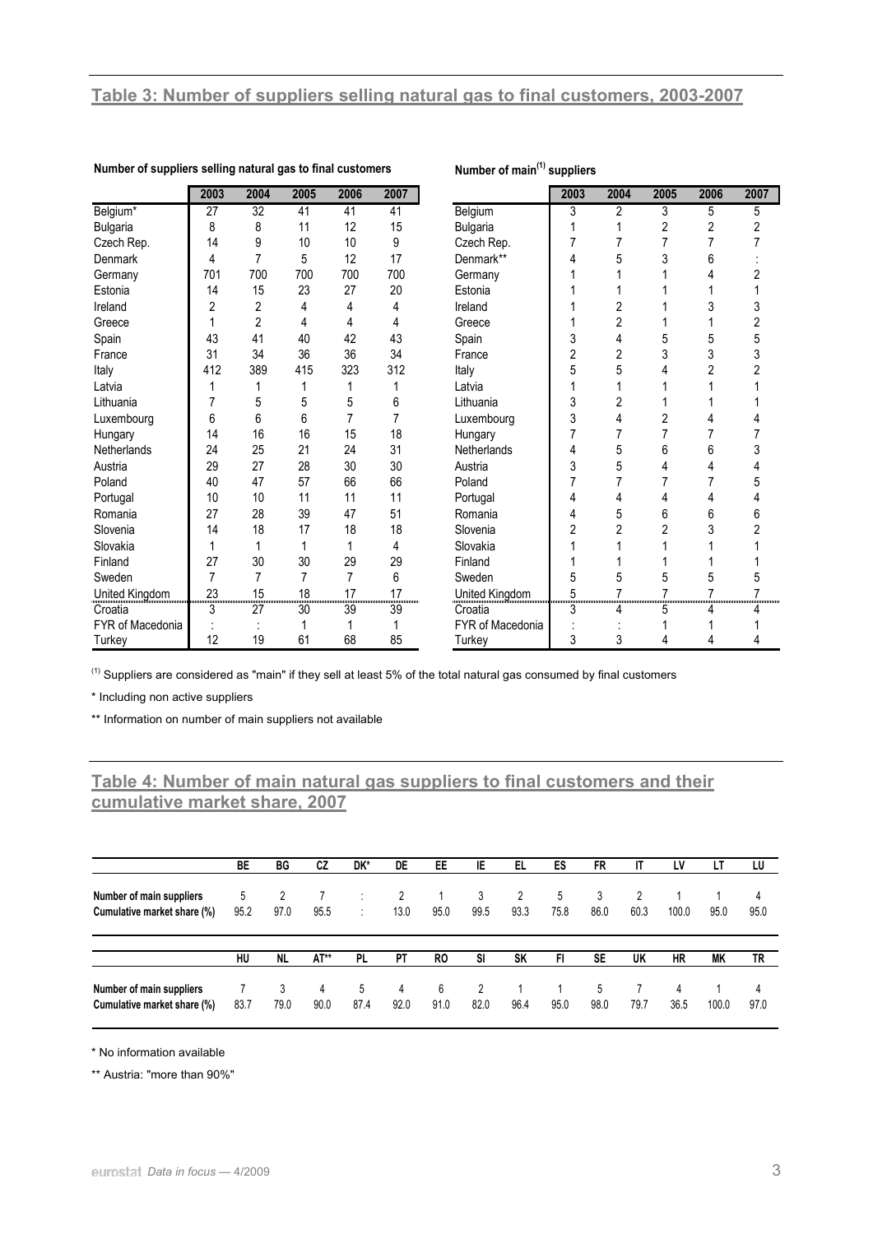|                  | 2003           | 2004           | 2005 | 2006 | 2007 |                    | 2003           | 2004           | 2005 | 2006 | 2007 |
|------------------|----------------|----------------|------|------|------|--------------------|----------------|----------------|------|------|------|
| Belgium*         | 27             | 32             | 41   | 41   | 41   | Belgium            | 3              | 2              | 3    | 5    | 5    |
| <b>Bulgaria</b>  | 8              | 8              | 11   | 12   | 15   | <b>Bulgaria</b>    |                |                | 2    | 2    |      |
| Czech Rep.       | 14             | 9              | 10   | 10   | 9    | Czech Rep.         |                |                | 7    |      |      |
| <b>Denmark</b>   | 4              | 7              | 5    | 12   | 17   | Denmark**          | 4              | 5              | 3    | 6    |      |
| Germany          | 701            | 700            | 700  | 700  | 700  | Germany            |                |                |      | 4    |      |
| Estonia          | 14             | 15             | 23   | 27   | 20   | Estonia            |                |                |      |      |      |
| Ireland          | 2              | $\overline{2}$ | 4    | 4    | 4    | Ireland            |                | 2              |      | 3    | 3    |
| Greece           |                | $\overline{c}$ | 4    | 4    | 4    | Greece             |                | $\overline{c}$ |      |      |      |
| Spain            | 43             | 41             | 40   | 42   | 43   | Spain              | 3              | 4              | 5    | 5    | 5    |
| France           | 31             | 34             | 36   | 36   | 34   | France             | $\overline{c}$ | $\overline{c}$ | 3    | 3    |      |
| Italy            | 412            | 389            | 415  | 323  | 312  | Italy              | 5              | 5              |      | 2    |      |
| Latvia           |                |                |      |      |      | Latvia             |                |                |      |      |      |
| Lithuania        | 7              | 5              | 5    | 5    | 6    | Lithuania          | 3              | 2              |      |      |      |
| Luxembourg       | 6              | 6              | 6    | 7    |      | Luxembourg         | 3              | 4              | 2    | 4    |      |
| Hungary          | 14             | 16             | 16   | 15   | 18   | Hungary            | 7              |                | 7    |      |      |
| Netherlands      | 24             | 25             | 21   | 24   | 31   | <b>Netherlands</b> | 4              | 5              | 6    | 6    |      |
| Austria          | 29             | 27             | 28   | 30   | 30   | Austria            | 3              | 5              | 4    |      |      |
| Poland           | 40             | 47             | 57   | 66   | 66   | Poland             | 7              | 7              |      |      | 5    |
| Portugal         | 10             | 10             | 11   | 11   | 11   | Portugal           | 4              | 4              | 4    | 4    |      |
| Romania          | 27             | 28             | 39   | 47   | 51   | Romania            | 4              | 5              | 6    | 6    | 6    |
| Slovenia         | 14             | 18             | 17   | 18   | 18   | Slovenia           | $\overline{2}$ | $\overline{2}$ | 2    | 3    |      |
| Slovakia         |                | 1              | 1    |      | 4    | Slovakia           |                |                |      |      |      |
| Finland          | 27             | 30             | 30   | 29   | 29   | Finland            |                |                |      |      |      |
| Sweden           | $\overline{7}$ | 7              | 7    | 7    | 6    | Sweden             | 5              | 5              | 5    | 5    | 5    |
| United Kingdom   | 23             | 15             | 18   | 17   | 17   | United Kingdom     | 5              |                |      |      |      |
| Croatia          | 3              | 27             | 30   | 39   | 39   | Croatia            | 3              | 4              | 5    | 4    |      |
| FYR of Macedonia |                |                |      |      |      | FYR of Macedonia   |                |                |      |      |      |
| Turkey           | 12             | 19             | 61   | 68   | 85   | Turkey             | 3              | 3              | 4    | 4    |      |

### **Number of suppliers selling natural gas to final customers Number of main(1) suppliers**

<sup>(1)</sup> Suppliers are considered as "main" if they sell at least 5% of the total natural gas consumed by final customers

\* Including non active suppliers

\*\* Information on number of main suppliers not available

## **Table 4: Number of main natural gas suppliers to final customers and their cumulative market share, 2007**

|                                                         | BE   | ВG        | CZ        | DK*       | DE        | EE.       | IE        | EL.       | ES   | FR        | IT   | LV        | LT    | LU        |
|---------------------------------------------------------|------|-----------|-----------|-----------|-----------|-----------|-----------|-----------|------|-----------|------|-----------|-------|-----------|
| Number of main suppliers                                | 5    |           |           | ٠         | 2         |           | 3         | 2         | 5    | 3         |      |           |       | 4         |
| Cumulative market share (%)                             | 95.2 | 97.0      | 95.5      | ÷         | 13.0      | 95.0      | 99.5      | 93.3      | 75.8 | 86.0      | 60.3 | 100.0     | 95.0  | 95.0      |
|                                                         | HU   | <b>NL</b> | AT**      | <b>PL</b> | PT        | RO.       | SI        | <b>SK</b> | FI.  | <b>SE</b> | UK   | <b>HR</b> | МK    | TR        |
| Number of main suppliers<br>Cumulative market share (%) | 83.7 | 3<br>79.0 | 4<br>90.0 | 5<br>87.4 | 4<br>92.0 | 6<br>91.0 | 2<br>82.0 | 96.4      | 95.0 | 5<br>98.0 | 79.7 | 4<br>36.5 | 100.0 | 4<br>97.0 |

\* No information available

\*\* Austria: "more than 90%"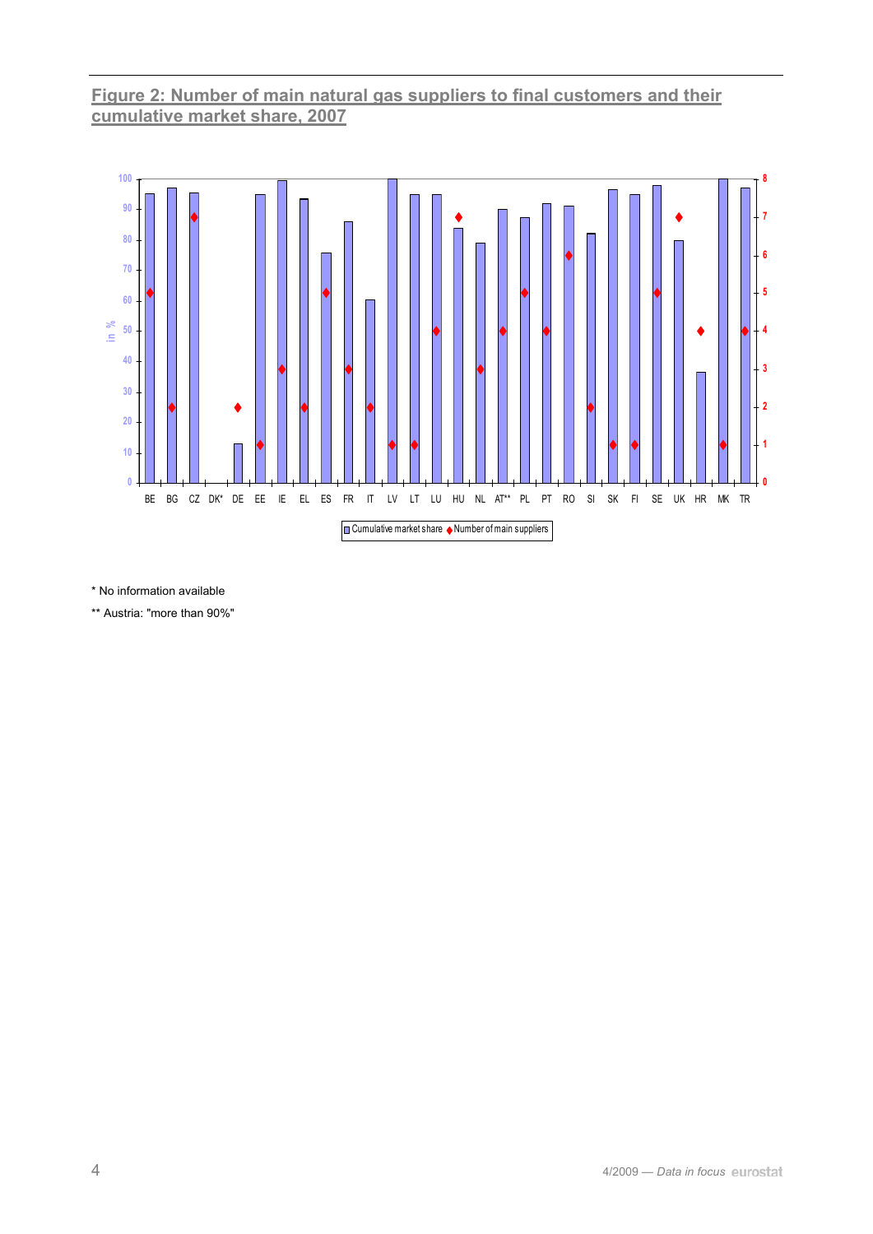## **Figure 2: Number of main natural gas suppliers to final customers and their cumulative market share, 2007**



\* No information available

\*\* Austria: "more than 90%"